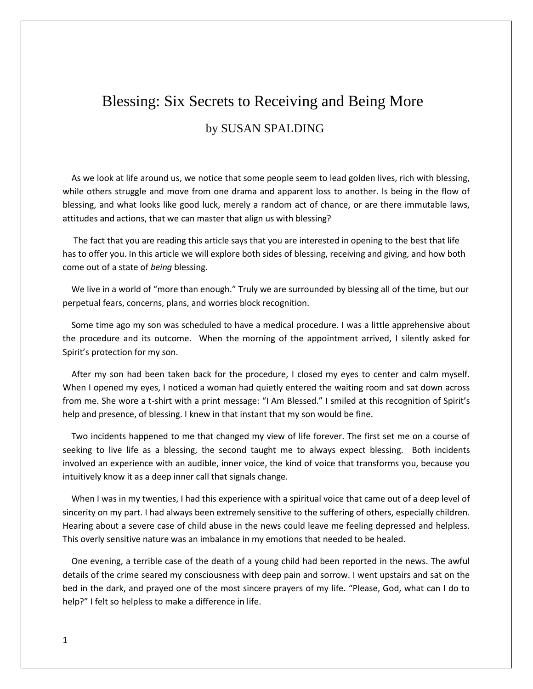# Blessing: Six Secrets to Receiving and Being More by SUSAN SPALDING

 As we look at life around us, we notice that some people seem to lead golden lives, rich with blessing, while others struggle and move from one drama and apparent loss to another. Is being in the flow of blessing, and what looks like good luck, merely a random act of chance, or are there immutable laws, attitudes and actions, that we can master that align us with blessing?

 The fact that you are reading this article says that you are interested in opening to the best that life has to offer you. In this article we will explore both sides of blessing, receiving and giving, and how both come out of a state of *being* blessing.

 We live in a world of "more than enough." Truly we are surrounded by blessing all of the time, but our perpetual fears, concerns, plans, and worries block recognition.

 Some time ago my son was scheduled to have a medical procedure. I was a little apprehensive about the procedure and its outcome. When the morning of the appointment arrived, I silently asked for Spirit's protection for my son.

 After my son had been taken back for the procedure, I closed my eyes to center and calm myself. When I opened my eyes, I noticed a woman had quietly entered the waiting room and sat down across from me. She wore a t-shirt with a print message: "I Am Blessed." I smiled at this recognition of Spirit's help and presence, of blessing. I knew in that instant that my son would be fine.

 Two incidents happened to me that changed my view of life forever. The first set me on a course of seeking to live life as a blessing, the second taught me to always expect blessing. Both incidents involved an experience with an audible, inner voice, the kind of voice that transforms you, because you intuitively know it as a deep inner call that signals change.

When I was in my twenties, I had this experience with a spiritual voice that came out of a deep level of sincerity on my part. I had always been extremely sensitive to the suffering of others, especially children. Hearing about a severe case of child abuse in the news could leave me feeling depressed and helpless. This overly sensitive nature was an imbalance in my emotions that needed to be healed.

 One evening, a terrible case of the death of a young child had been reported in the news. The awful details of the crime seared my consciousness with deep pain and sorrow. I went upstairs and sat on the bed in the dark, and prayed one of the most sincere prayers of my life. "Please, God, what can I do to help?" I felt so helpless to make a difference in life.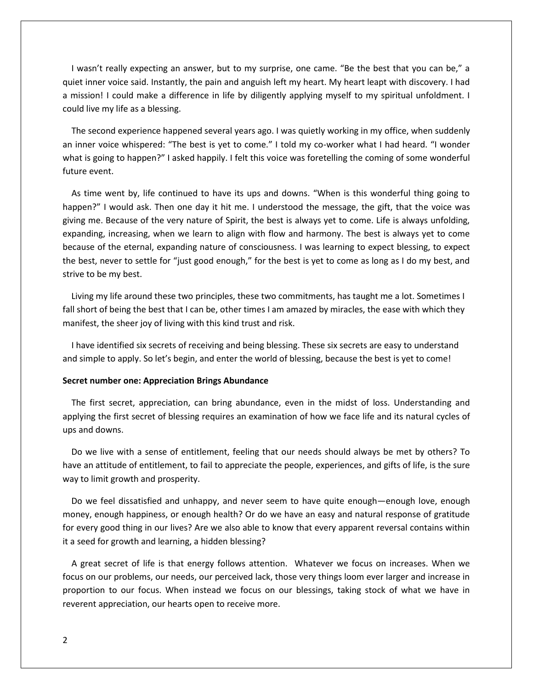I wasn't really expecting an answer, but to my surprise, one came. "Be the best that you can be," a quiet inner voice said. Instantly, the pain and anguish left my heart. My heart leapt with discovery. I had a mission! I could make a difference in life by diligently applying myself to my spiritual unfoldment. I could live my life as a blessing.

 The second experience happened several years ago. I was quietly working in my office, when suddenly an inner voice whispered: "The best is yet to come." I told my co-worker what I had heard. "I wonder what is going to happen?" I asked happily. I felt this voice was foretelling the coming of some wonderful future event.

 As time went by, life continued to have its ups and downs. "When is this wonderful thing going to happen?" I would ask. Then one day it hit me. I understood the message, the gift, that the voice was giving me. Because of the very nature of Spirit, the best is always yet to come. Life is always unfolding, expanding, increasing, when we learn to align with flow and harmony. The best is always yet to come because of the eternal, expanding nature of consciousness. I was learning to expect blessing, to expect the best, never to settle for "just good enough," for the best is yet to come as long as I do my best, and strive to be my best.

 Living my life around these two principles, these two commitments, has taught me a lot. Sometimes I fall short of being the best that I can be, other times I am amazed by miracles, the ease with which they manifest, the sheer joy of living with this kind trust and risk.

 I have identified six secrets of receiving and being blessing. These six secrets are easy to understand and simple to apply. So let's begin, and enter the world of blessing, because the best is yet to come!

# **Secret number one: Appreciation Brings Abundance**

 The first secret, appreciation, can bring abundance, even in the midst of loss. Understanding and applying the first secret of blessing requires an examination of how we face life and its natural cycles of ups and downs.

 Do we live with a sense of entitlement, feeling that our needs should always be met by others? To have an attitude of entitlement, to fail to appreciate the people, experiences, and gifts of life, is the sure way to limit growth and prosperity.

 Do we feel dissatisfied and unhappy, and never seem to have quite enough—enough love, enough money, enough happiness, or enough health? Or do we have an easy and natural response of gratitude for every good thing in our lives? Are we also able to know that every apparent reversal contains within it a seed for growth and learning, a hidden blessing?

 A great secret of life is that energy follows attention. Whatever we focus on increases. When we focus on our problems, our needs, our perceived lack, those very things loom ever larger and increase in proportion to our focus. When instead we focus on our blessings, taking stock of what we have in reverent appreciation, our hearts open to receive more.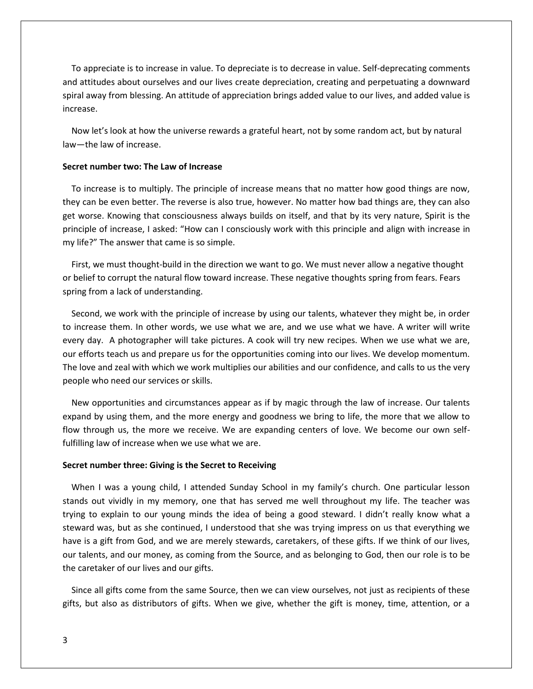To appreciate is to increase in value. To depreciate is to decrease in value. Self-deprecating comments and attitudes about ourselves and our lives create depreciation, creating and perpetuating a downward spiral away from blessing. An attitude of appreciation brings added value to our lives, and added value is increase.

 Now let's look at how the universe rewards a grateful heart, not by some random act, but by natural law—the law of increase.

# **Secret number two: The Law of Increase**

 To increase is to multiply. The principle of increase means that no matter how good things are now, they can be even better. The reverse is also true, however. No matter how bad things are, they can also get worse. Knowing that consciousness always builds on itself, and that by its very nature, Spirit is the principle of increase, I asked: "How can I consciously work with this principle and align with increase in my life?" The answer that came is so simple.

 First, we must thought-build in the direction we want to go. We must never allow a negative thought or belief to corrupt the natural flow toward increase. These negative thoughts spring from fears. Fears spring from a lack of understanding.

 Second, we work with the principle of increase by using our talents, whatever they might be, in order to increase them. In other words, we use what we are, and we use what we have. A writer will write every day. A photographer will take pictures. A cook will try new recipes. When we use what we are, our efforts teach us and prepare us for the opportunities coming into our lives. We develop momentum. The love and zeal with which we work multiplies our abilities and our confidence, and calls to us the very people who need our services or skills.

 New opportunities and circumstances appear as if by magic through the law of increase. Our talents expand by using them, and the more energy and goodness we bring to life, the more that we allow to flow through us, the more we receive. We are expanding centers of love. We become our own selffulfilling law of increase when we use what we are.

#### **Secret number three: Giving is the Secret to Receiving**

 When I was a young child, I attended Sunday School in my family's church. One particular lesson stands out vividly in my memory, one that has served me well throughout my life. The teacher was trying to explain to our young minds the idea of being a good steward. I didn't really know what a steward was, but as she continued, I understood that she was trying impress on us that everything we have is a gift from God, and we are merely stewards, caretakers, of these gifts. If we think of our lives, our talents, and our money, as coming from the Source, and as belonging to God, then our role is to be the caretaker of our lives and our gifts.

 Since all gifts come from the same Source, then we can view ourselves, not just as recipients of these gifts, but also as distributors of gifts. When we give, whether the gift is money, time, attention, or a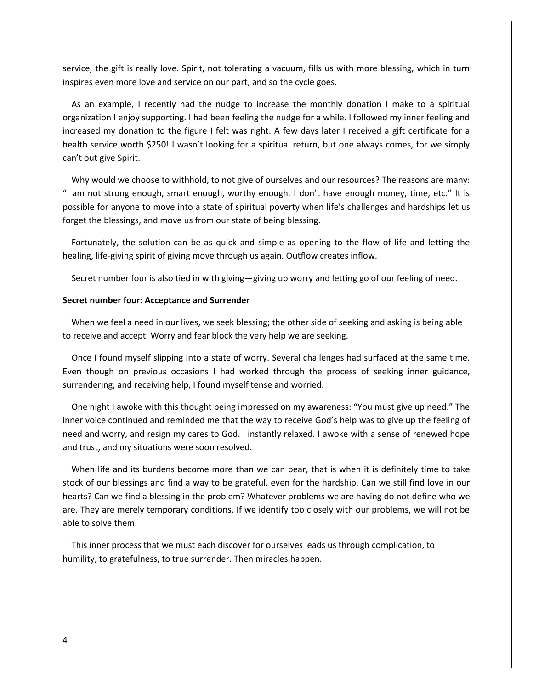service, the gift is really love. Spirit, not tolerating a vacuum, fills us with more blessing, which in turn inspires even more love and service on our part, and so the cycle goes.

 As an example, I recently had the nudge to increase the monthly donation I make to a spiritual organization I enjoy supporting. I had been feeling the nudge for a while. I followed my inner feeling and increased my donation to the figure I felt was right. A few days later I received a gift certificate for a health service worth \$250! I wasn't looking for a spiritual return, but one always comes, for we simply can't out give Spirit.

 Why would we choose to withhold, to not give of ourselves and our resources? The reasons are many: "I am not strong enough, smart enough, worthy enough. I don't have enough money, time, etc." It is possible for anyone to move into a state of spiritual poverty when life's challenges and hardships let us forget the blessings, and move us from our state of being blessing.

 Fortunately, the solution can be as quick and simple as opening to the flow of life and letting the healing, life-giving spirit of giving move through us again. Outflow creates inflow.

Secret number four is also tied in with giving—giving up worry and letting go of our feeling of need.

# **Secret number four: Acceptance and Surrender**

 When we feel a need in our lives, we seek blessing; the other side of seeking and asking is being able to receive and accept. Worry and fear block the very help we are seeking.

 Once I found myself slipping into a state of worry. Several challenges had surfaced at the same time. Even though on previous occasions I had worked through the process of seeking inner guidance, surrendering, and receiving help, I found myself tense and worried.

 One night I awoke with this thought being impressed on my awareness: "You must give up need." The inner voice continued and reminded me that the way to receive God's help was to give up the feeling of need and worry, and resign my cares to God. I instantly relaxed. I awoke with a sense of renewed hope and trust, and my situations were soon resolved.

 When life and its burdens become more than we can bear, that is when it is definitely time to take stock of our blessings and find a way to be grateful, even for the hardship. Can we still find love in our hearts? Can we find a blessing in the problem? Whatever problems we are having do not define who we are. They are merely temporary conditions. If we identify too closely with our problems, we will not be able to solve them.

 This inner process that we must each discover for ourselves leads us through complication, to humility, to gratefulness, to true surrender. Then miracles happen.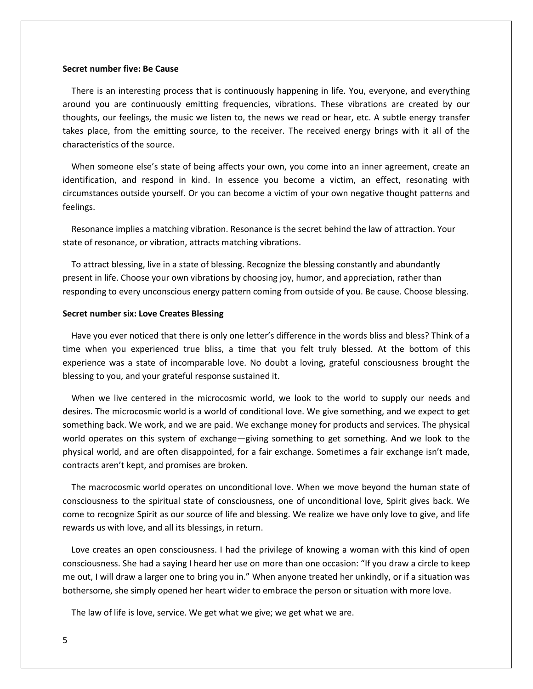### **Secret number five: Be Cause**

 There is an interesting process that is continuously happening in life. You, everyone, and everything around you are continuously emitting frequencies, vibrations. These vibrations are created by our thoughts, our feelings, the music we listen to, the news we read or hear, etc. A subtle energy transfer takes place, from the emitting source, to the receiver. The received energy brings with it all of the characteristics of the source.

 When someone else's state of being affects your own, you come into an inner agreement, create an identification, and respond in kind. In essence you become a victim, an effect, resonating with circumstances outside yourself. Or you can become a victim of your own negative thought patterns and feelings.

 Resonance implies a matching vibration. Resonance is the secret behind the law of attraction. Your state of resonance, or vibration, attracts matching vibrations.

 To attract blessing, live in a state of blessing. Recognize the blessing constantly and abundantly present in life. Choose your own vibrations by choosing joy, humor, and appreciation, rather than responding to every unconscious energy pattern coming from outside of you. Be cause. Choose blessing.

# **Secret number six: Love Creates Blessing**

 Have you ever noticed that there is only one letter's difference in the words bliss and bless? Think of a time when you experienced true bliss, a time that you felt truly blessed. At the bottom of this experience was a state of incomparable love. No doubt a loving, grateful consciousness brought the blessing to you, and your grateful response sustained it.

 When we live centered in the microcosmic world, we look to the world to supply our needs and desires. The microcosmic world is a world of conditional love. We give something, and we expect to get something back. We work, and we are paid. We exchange money for products and services. The physical world operates on this system of exchange—giving something to get something. And we look to the physical world, and are often disappointed, for a fair exchange. Sometimes a fair exchange isn't made, contracts aren't kept, and promises are broken.

 The macrocosmic world operates on unconditional love. When we move beyond the human state of consciousness to the spiritual state of consciousness, one of unconditional love, Spirit gives back. We come to recognize Spirit as our source of life and blessing. We realize we have only love to give, and life rewards us with love, and all its blessings, in return.

 Love creates an open consciousness. I had the privilege of knowing a woman with this kind of open consciousness. She had a saying I heard her use on more than one occasion: "If you draw a circle to keep me out, I will draw a larger one to bring you in." When anyone treated her unkindly, or if a situation was bothersome, she simply opened her heart wider to embrace the person or situation with more love.

The law of life is love, service. We get what we give; we get what we are.